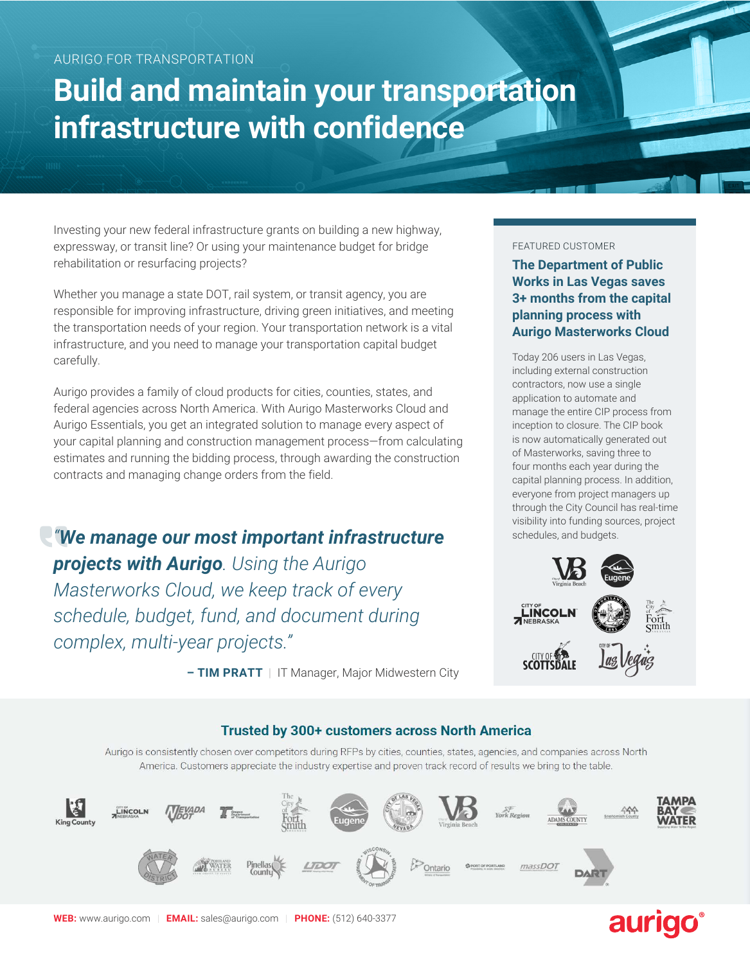# **Build and maintain your transportation infrastructure with confidence**

Investing your new federal infrastructure grants on building a new highway, expressway, or transit line? Or using your maintenance budget for bridge rehabilitation or resurfacing projects?

Whether you manage a state DOT, rail system, or transit agency, you are responsible for improving infrastructure, driving green initiatives, and meeting the transportation needs of your region. Your transportation network is a vital infrastructure, and you need to manage your transportation capital budget carefully.

Aurigo provides a family of cloud products for cities, counties, states, and federal agencies across North America. With Aurigo Masterworks Cloud and Aurigo Essentials, you get an integrated solution to manage every aspect of your capital planning and construction management process—from calculating estimates and running the bidding process, through awarding the construction contracts and managing change orders from the field.

*"We manage our most important infrastructure projects with Aurigo. Using the Aurigo Masterworks Cloud, we keep track of every schedule, budget, fund, and document during complex, multi-year projects."*

#### FEATURED CUSTOMER

**The Department of Public Works in Las Vegas saves 3+ months from the capital planning process with Aurigo Masterworks Cloud**

Today 206 users in Las Vegas, including external construction contractors, now use a single application to automate and manage the entire CIP process from inception to closure. The CIP book is now automatically generated out of Masterworks, saving three to four months each year during the capital planning process. In addition, everyone from project managers up through the City Council has real-time visibility into funding sources, project schedules, and budgets.



**– TIM PRATT |** IT Manager, Major Midwestern City

### Trusted by 300+ customers across North America

Aurigo is consistently chosen over competitors during RFPs by cities, counties, states, agencies, and companies across North America. Customers appreciate the industry expertise and proven track record of results we bring to the table.



## aurigo